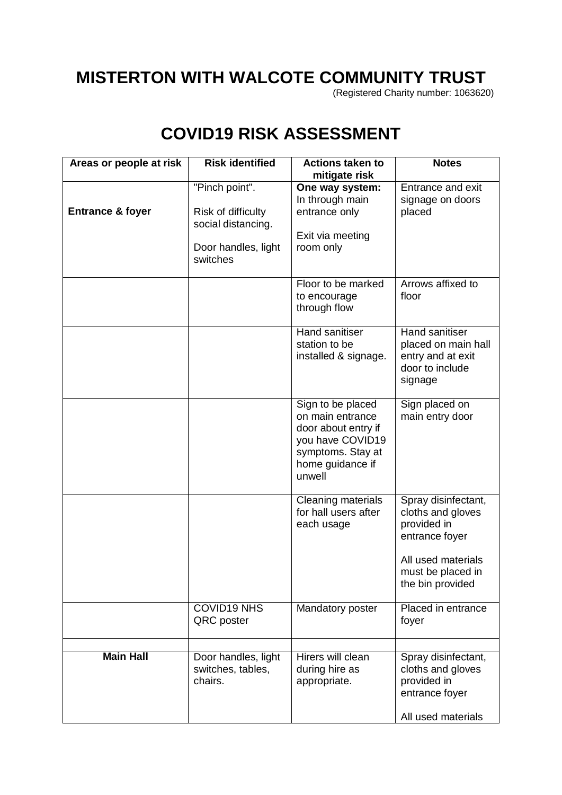## **MISTERTON WITH WALCOTE COMMUNITY TRUST**

(Registered Charity number: 1063620)

## **COVID19 RISK ASSESSMENT**

| Areas or people at risk     | <b>Risk identified</b>                                                                        | <b>Actions taken to</b><br>mitigate risk                                                                                            | <b>Notes</b>                                                                                                                             |
|-----------------------------|-----------------------------------------------------------------------------------------------|-------------------------------------------------------------------------------------------------------------------------------------|------------------------------------------------------------------------------------------------------------------------------------------|
| <b>Entrance &amp; foyer</b> | "Pinch point".<br>Risk of difficulty<br>social distancing.<br>Door handles, light<br>switches | One way system:<br>In through main<br>entrance only<br>Exit via meeting<br>room only                                                | Entrance and exit<br>signage on doors<br>placed                                                                                          |
|                             |                                                                                               | Floor to be marked<br>to encourage<br>through flow                                                                                  | Arrows affixed to<br>floor                                                                                                               |
|                             |                                                                                               | Hand sanitiser<br>station to be<br>installed & signage.                                                                             | Hand sanitiser<br>placed on main hall<br>entry and at exit<br>door to include<br>signage                                                 |
|                             |                                                                                               | Sign to be placed<br>on main entrance<br>door about entry if<br>you have COVID19<br>symptoms. Stay at<br>home guidance if<br>unwell | Sign placed on<br>main entry door                                                                                                        |
|                             |                                                                                               | Cleaning materials<br>for hall users after<br>each usage                                                                            | Spray disinfectant,<br>cloths and gloves<br>provided in<br>entrance foyer<br>All used materials<br>must be placed in<br>the bin provided |
|                             | <b>COVID19 NHS</b><br>QRC poster                                                              | Mandatory poster                                                                                                                    | Placed in entrance<br>foyer                                                                                                              |
| <b>Main Hall</b>            | Door handles, light<br>switches, tables,<br>chairs.                                           | Hirers will clean<br>during hire as<br>appropriate.                                                                                 | Spray disinfectant,<br>cloths and gloves<br>provided in<br>entrance foyer<br>All used materials                                          |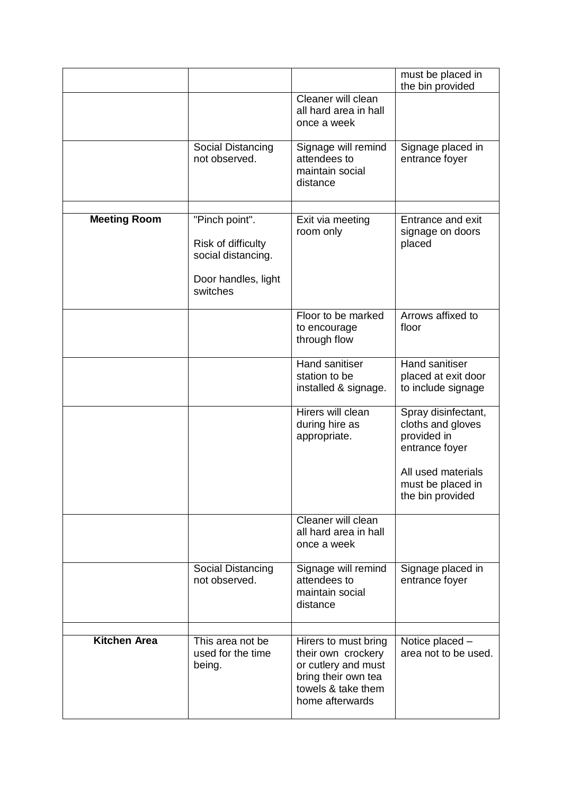|                     |                                                                             |                                                                                                                                   | must be placed in<br>the bin provided                                                                                                    |
|---------------------|-----------------------------------------------------------------------------|-----------------------------------------------------------------------------------------------------------------------------------|------------------------------------------------------------------------------------------------------------------------------------------|
|                     |                                                                             | Cleaner will clean<br>all hard area in hall<br>once a week                                                                        |                                                                                                                                          |
|                     | Social Distancing<br>not observed.                                          | Signage will remind<br>attendees to<br>maintain social<br>distance                                                                | Signage placed in<br>entrance foyer                                                                                                      |
| <b>Meeting Room</b> | "Pinch point".                                                              | Exit via meeting                                                                                                                  | Entrance and exit                                                                                                                        |
|                     | Risk of difficulty<br>social distancing.<br>Door handles, light<br>switches | room only                                                                                                                         | signage on doors<br>placed                                                                                                               |
|                     |                                                                             | Floor to be marked<br>to encourage<br>through flow                                                                                | Arrows affixed to<br>floor                                                                                                               |
|                     |                                                                             | <b>Hand sanitiser</b><br>station to be<br>installed & signage.                                                                    | Hand sanitiser<br>placed at exit door<br>to include signage                                                                              |
|                     |                                                                             | Hirers will clean<br>during hire as<br>appropriate.                                                                               | Spray disinfectant,<br>cloths and gloves<br>provided in<br>entrance foyer<br>All used materials<br>must be placed in<br>the bin provided |
|                     |                                                                             | Cleaner will clean<br>all hard area in hall<br>once a week                                                                        |                                                                                                                                          |
|                     | Social Distancing<br>not observed.                                          | Signage will remind<br>attendees to<br>maintain social<br>distance                                                                | Signage placed in<br>entrance foyer                                                                                                      |
| <b>Kitchen Area</b> | This area not be<br>used for the time<br>being.                             | Hirers to must bring<br>their own crockery<br>or cutlery and must<br>bring their own tea<br>towels & take them<br>home afterwards | Notice placed -<br>area not to be used.                                                                                                  |